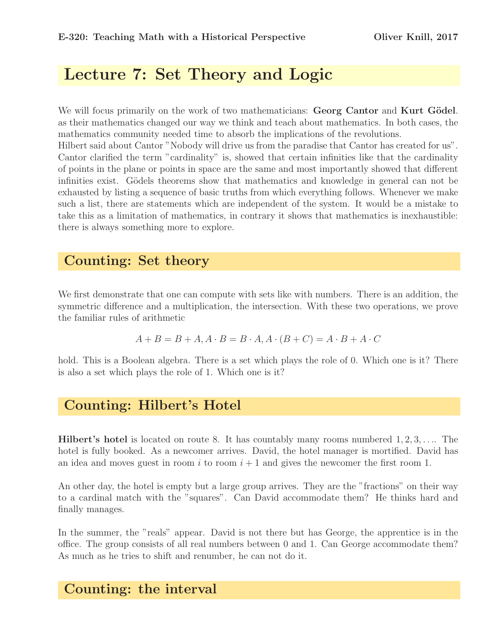# Lecture 7: Set Theory and Logic

We will focus primarily on the work of two mathematicians: Georg Cantor and Kurt Gödel. as their mathematics changed our way we think and teach about mathematics. In both cases, the mathematics community needed time to absorb the implications of the revolutions. Hilbert said about Cantor "Nobody will drive us from the paradise that Cantor has created for us". Cantor clarified the term "cardinality" is, showed that certain infinities like that the cardinality of points in the plane or points in space are the same and most importantly showed that different infinities exist. Gödels theorems show that mathematics and knowledge in general can not be exhausted by listing a sequence of basic truths from which everything follows. Whenever we make such a list, there are statements which are independent of the system. It would be a mistake to take this as a limitation of mathematics, in contrary it shows that mathematics is inexhaustible: there is always something more to explore.

### Counting: Set theory

We first demonstrate that one can compute with sets like with numbers. There is an addition, the symmetric difference and a multiplication, the intersection. With these two operations, we prove the familiar rules of arithmetic

$$
A + B = B + A, A \cdot B = B \cdot A, A \cdot (B + C) = A \cdot B + A \cdot C
$$

hold. This is a Boolean algebra. There is a set which plays the role of 0. Which one is it? There is also a set which plays the role of 1. Which one is it?

### Counting: Hilbert's Hotel

**Hilbert's hotel is located on route 8.** It has countably many rooms numbered  $1, 2, 3, \ldots$  The hotel is fully booked. As a newcomer arrives. David, the hotel manager is mortified. David has an idea and moves guest in room i to room  $i + 1$  and gives the newcomer the first room 1.

An other day, the hotel is empty but a large group arrives. They are the "fractions" on their way to a cardinal match with the "squares". Can David accommodate them? He thinks hard and finally manages.

In the summer, the "reals" appear. David is not there but has George, the apprentice is in the office. The group consists of all real numbers between 0 and 1. Can George accommodate them? As much as he tries to shift and renumber, he can not do it.

## Counting: the interval